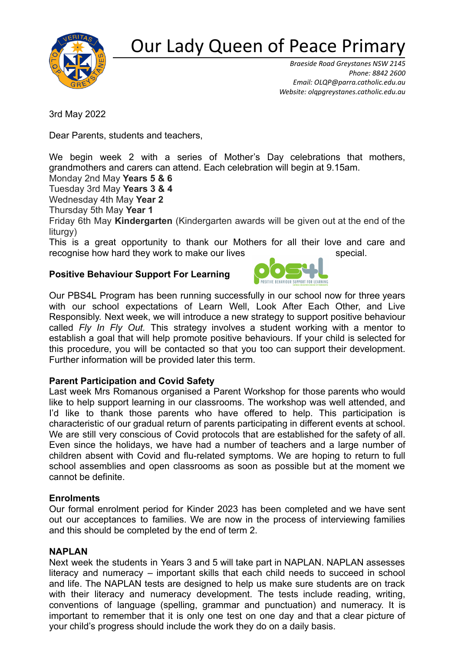

# Our Lady Queen of Peace Primar

*Braeside Road Greystanes NSW 2145 Phone: 8842 2600 Email: [OLQP@parra.catholic.edu.au](mailto:OLQP@parra.catholic.edu.au) Website: olqpgreystanes.catholic.edu.au*

3rd May 2022

Dear Parents, students and teachers,

We begin week 2 with a series of Mother's Day celebrations that mothers, grandmothers and carers can attend. Each celebration will begin at 9.15am.

Monday 2nd May **Years 5 & 6**

Tuesday 3rd May **Years 3 & 4**

Wednesday 4th May **Year 2**

Thursday 5th May **Year 1**

Friday 6th May **Kindergarten** (Kindergarten awards will be given out at the end of the liturgy)

This is a great opportunity to thank our Mothers for all their love and care and recognise how hard they work to make our lives special.

POSITIVE BEHAVIOUR SUPPORT FOR LEARNING

## **Positive Behaviour Support For Learning**



## **Parent Participation and Covid Safety**

Last week Mrs Romanous organised a Parent Workshop for those parents who would like to help support learning in our classrooms. The workshop was well attended, and I'd like to thank those parents who have offered to help. This participation is characteristic of our gradual return of parents participating in different events at school. We are still very conscious of Covid protocols that are established for the safety of all. Even since the holidays, we have had a number of teachers and a large number of children absent with Covid and flu-related symptoms. We are hoping to return to full school assemblies and open classrooms as soon as possible but at the moment we cannot be definite.

#### **Enrolments**

Our formal enrolment period for Kinder 2023 has been completed and we have sent out our acceptances to families. We are now in the process of interviewing families and this should be completed by the end of term 2.

## **NAPLAN**

Next week the students in Years 3 and 5 will take part in NAPLAN. NAPLAN assesses literacy and numeracy – important skills that each child needs to succeed in school and life. The NAPLAN tests are designed to help us make sure students are on track with their literacy and numeracy development. The tests include reading, writing, conventions of language (spelling, grammar and punctuation) and numeracy. It is important to remember that it is only one test on one day and that a clear picture of your child's progress should include the work they do on a daily basis.